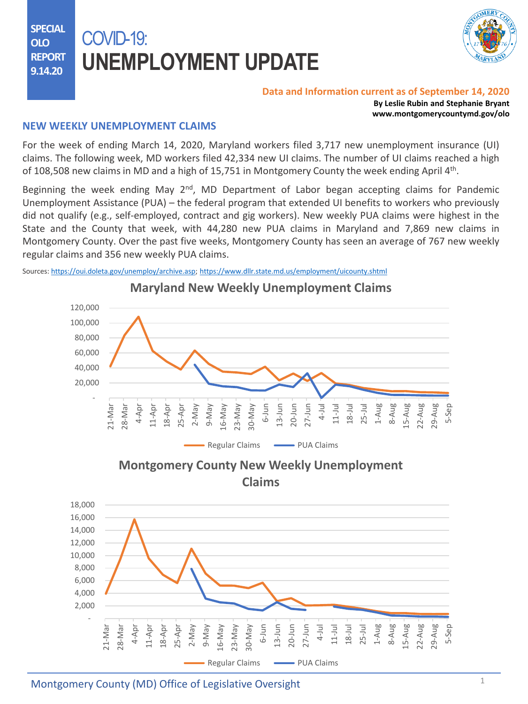**SPECIAL OLO REPORT 9.14.20**

# COVID-19: **UNEMPLOYMENT UPDATE**



#### **Data and Information current as of September 14, 2020**

**By Leslie Rubin and Stephanie Bryant www.montgomerycountymd.gov/olo**

## **NEW WEEKLY UNEMPLOYMENT CLAIMS**

For the week of ending March 14, 2020, Maryland workers filed 3,717 new unemployment insurance (UI) claims. The following week, MD workers filed 42,334 new UI claims. The number of UI claims reached a high of 108,508 new claims in MD and a high of 15,751 in Montgomery County the week ending April 4<sup>th</sup>.

Beginning the week ending May 2<sup>nd</sup>, MD Department of Labor began accepting claims for Pandemic Unemployment Assistance (PUA) – the federal program that extended UI benefits to workers who previously did not qualify (e.g., self-employed, contract and gig workers). New weekly PUA claims were highest in the State and the County that week, with 44,280 new PUA claims in Maryland and 7,869 new claims in Montgomery County. Over the past five weeks, Montgomery County has seen an average of 767 new weekly regular claims and 356 new weekly PUA claims.

Sources: [https://oui.doleta.gov/unemploy/archive.asp;](https://oui.doleta.gov/unemploy/archive.asp) <https://www.dllr.state.md.us/employment/uicounty.shtml>



**Maryland New Weekly Unemployment Claims**

Montgomery County (MD) Office of Legislative Oversight <sup>1</sup>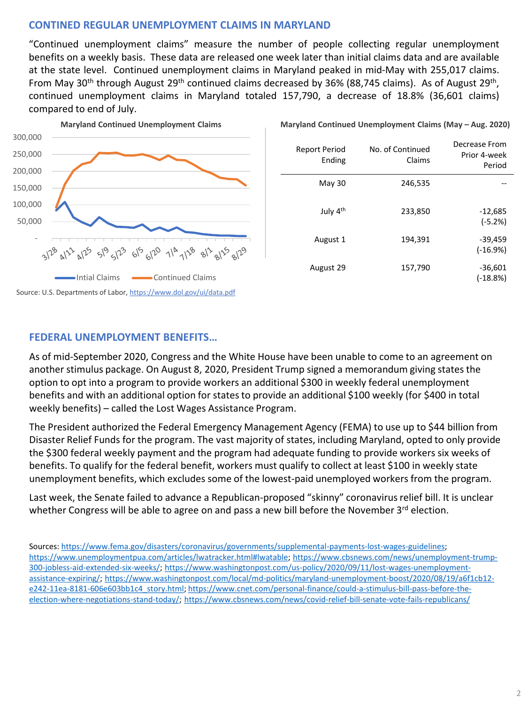## **CONTINED REGULAR UNEMPLOYMENT CLAIMS IN MARYLAND**

"Continued unemployment claims" measure the number of people collecting regular unemployment benefits on a weekly basis. These data are released one week later than initial claims data and are available at the state level. Continued unemployment claims in Maryland peaked in mid-May with 255,017 claims. From May 30<sup>th</sup> through August 29<sup>th</sup> continued claims decreased by 36% (88,745 claims). As of August 29<sup>th</sup>, continued unemployment claims in Maryland totaled 157,790, a decrease of 18.8% (36,601 claims) compared to end of July.



| Decrease From<br>Prior 4-week<br>Period | No. of Continued<br>Claims | Report Period<br>Ending |
|-----------------------------------------|----------------------------|-------------------------|
|                                         | 246,535                    | May 30                  |
| $-12,685$<br>$(-5.2%)$                  | 233,850                    | July 4th                |
| $-39,459$<br>$(-16.9%)$                 | 194,391                    | August 1                |
| $-36,601$<br>$(-18.8%)$                 | 157,790                    | August 29               |

#### **Maryland Continued Unemployment Claims (May - Aug. 2020)**

#### **FEDERAL UNEMPLOYMENT BENEFITS…**

As of mid-September 2020, Congress and the White House have been unable to come to an agreement on another stimulus package. On August 8, 2020, President Trump signed a memorandum giving states the option to opt into a program to provide workers an additional \$300 in weekly federal unemployment benefits and with an additional option for states to provide an additional \$100 weekly (for \$400 in total weekly benefits) – called the Lost Wages Assistance Program.

The President authorized the Federal Emergency Management Agency (FEMA) to use up to \$44 billion from Disaster Relief Funds for the program. The vast majority of states, including Maryland, opted to only provide the \$300 federal weekly payment and the program had adequate funding to provide workers six weeks of benefits. To qualify for the federal benefit, workers must qualify to collect at least \$100 in weekly state unemployment benefits, which excludes some of the lowest-paid unemployed workers from the program.

Last week, the Senate failed to advance a Republican-proposed "skinny" coronavirus relief bill. It is unclear whether Congress will be able to agree on and pass a new bill before the November 3<sup>rd</sup> election.

Sources: [https://www.fema.gov/disasters/coronavirus/governments/supplemental-payments-lost-wages-guidelines;](https://www.fema.gov/disasters/coronavirus/governments/supplemental-payments-lost-wages-guidelines) [https://www.unemploymentpua.com/articles/lwatracker.html#lwatable; https://www.cbsnews.com/news/unemployment-trump-](https://www.cbsnews.com/news/unemployment-trump-300-jobless-aid-extended-six-weeks/)[300-jobless-aid-extended-six-weeks/; https://www.washingtonpost.com/us-policy/2020/09/11/lost-wages-unemployment](https://www.washingtonpost.com/us-policy/2020/09/11/lost-wages-unemployment-assistance-expiring/)[assistance-expiring/; https://www.washingtonpost.com/local/md-politics/maryland-unemployment-boost/2020/08/19/a6f1cb12](https://www.washingtonpost.com/local/md-politics/maryland-unemployment-boost/2020/08/19/a6f1cb12-e242-11ea-8181-606e603bb1c4_story.html) e242-11ea-8181-606e603bb1c4\_story.html; https://www.cnet.com/personal-finance/could-a-stimulus-bill-pass-before-the[election-where-negotiations-stand-today/; https://www.cbsnews.com/news/covid-relief-bill-senate-vote-fails-republicans/](https://www.cnet.com/personal-finance/could-a-stimulus-bill-pass-before-the-election-where-negotiations-stand-today/)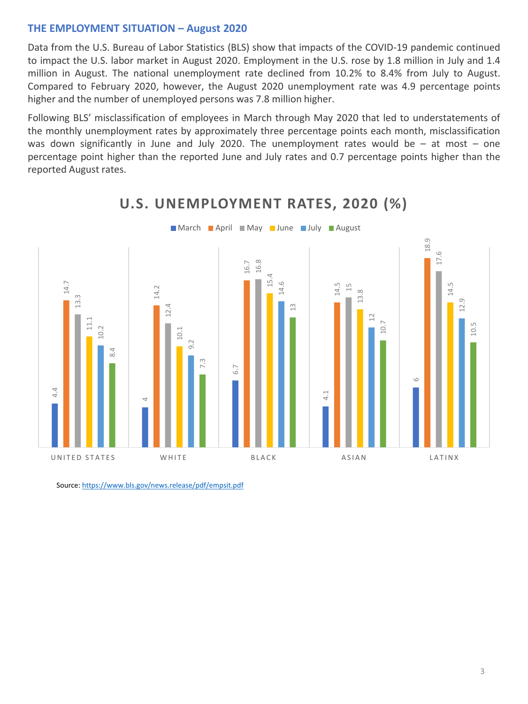#### **THE EMPLOYMENT SITUATION – August 2020**

Data from the U.S. Bureau of Labor Statistics (BLS) show that impacts of the COVID-19 pandemic continued to impact the U.S. labor market in August 2020. Employment in the U.S. rose by 1.8 million in July and 1.4 million in August. The national unemployment rate declined from 10.2% to 8.4% from July to August. Compared to February 2020, however, the August 2020 unemployment rate was 4.9 percentage points higher and the number of unemployed persons was 7.8 million higher.

Following BLS' misclassification of employees in March through May 2020 that led to understatements of the monthly unemployment rates by approximately three percentage points each month, misclassification was down significantly in June and July 2020. The [unemployment](https://www.dllr.state.md.us/employment/clmtguide/uiclmtpamphlet.pdf) rates would be  $-$  at most  $-$  one percentage point higher than the reported June and July rates and 0.7 percentage points higher than the reported August rates.



# **U.S. UNEMPLOYMENT RATES, 2020 (%)**